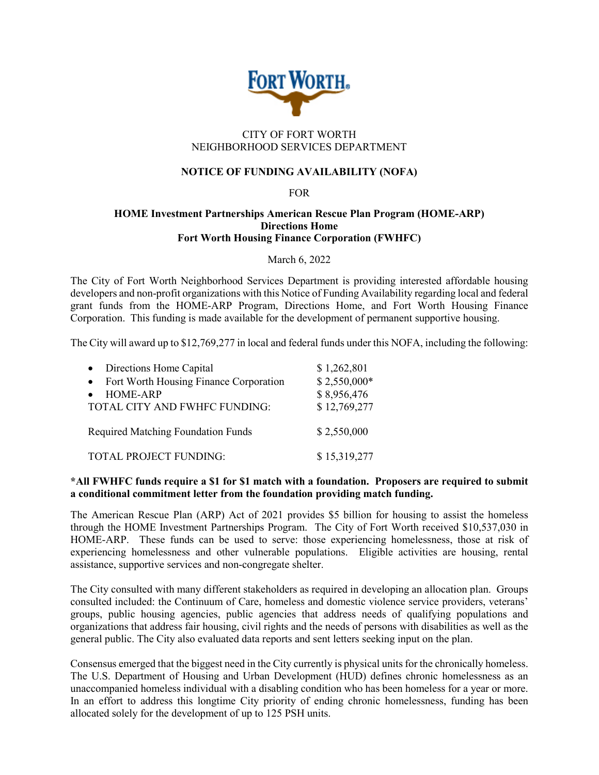

# CITY OF FORT WORTH NEIGHBORHOOD SERVICES DEPARTMENT

# **NOTICE OF FUNDING AVAILABILITY (NOFA)**

#### FOR

### **HOME Investment Partnerships American Rescue Plan Program (HOME-ARP) Directions Home Fort Worth Housing Finance Corporation (FWHFC)**

March 6, 2022

The City of Fort Worth Neighborhood Services Department is providing interested affordable housing developers and non-profit organizations with this Notice of Funding Availability regarding local and federal grant funds from the HOME-ARP Program, Directions Home, and Fort Worth Housing Finance Corporation. This funding is made available for the development of permanent supportive housing.

The City will award up to \$12,769,277 in local and federal funds under this NOFA, including the following:

| • Directions Home Capital                           | \$1,262,801   |
|-----------------------------------------------------|---------------|
| Fort Worth Housing Finance Corporation<br>$\bullet$ | $$2,550,000*$ |
| <b>HOME-ARP</b><br>$\bullet$                        | \$8,956,476   |
| TOTAL CITY AND FWHFC FUNDING:                       | \$12,769,277  |
| <b>Required Matching Foundation Funds</b>           | \$2,550,000   |
| <b>TOTAL PROJECT FUNDING:</b>                       | \$15,319,277  |

### **\*All FWHFC funds require a \$1 for \$1 match with a foundation. Proposers are required to submit a conditional commitment letter from the foundation providing match funding.**

The American Rescue Plan (ARP) Act of 2021 provides \$5 billion for housing to assist the homeless through the HOME Investment Partnerships Program. The City of Fort Worth received \$10,537,030 in HOME-ARP. These funds can be used to serve: those experiencing homelessness, those at risk of experiencing homelessness and other vulnerable populations. Eligible activities are housing, rental assistance, supportive services and non-congregate shelter.

The City consulted with many different stakeholders as required in developing an allocation plan. Groups consulted included: the Continuum of Care, homeless and domestic violence service providers, veterans' groups, public housing agencies, public agencies that address needs of qualifying populations and organizations that address fair housing, civil rights and the needs of persons with disabilities as well as the general public. The City also evaluated data reports and sent letters seeking input on the plan.

Consensus emerged that the biggest need in the City currently is physical units for the chronically homeless. The U.S. Department of Housing and Urban Development (HUD) defines chronic homelessness as an unaccompanied homeless individual with a disabling condition who has been homeless for a year or more. In an effort to address this longtime City priority of ending chronic homelessness, funding has been allocated solely for the development of up to 125 PSH units.